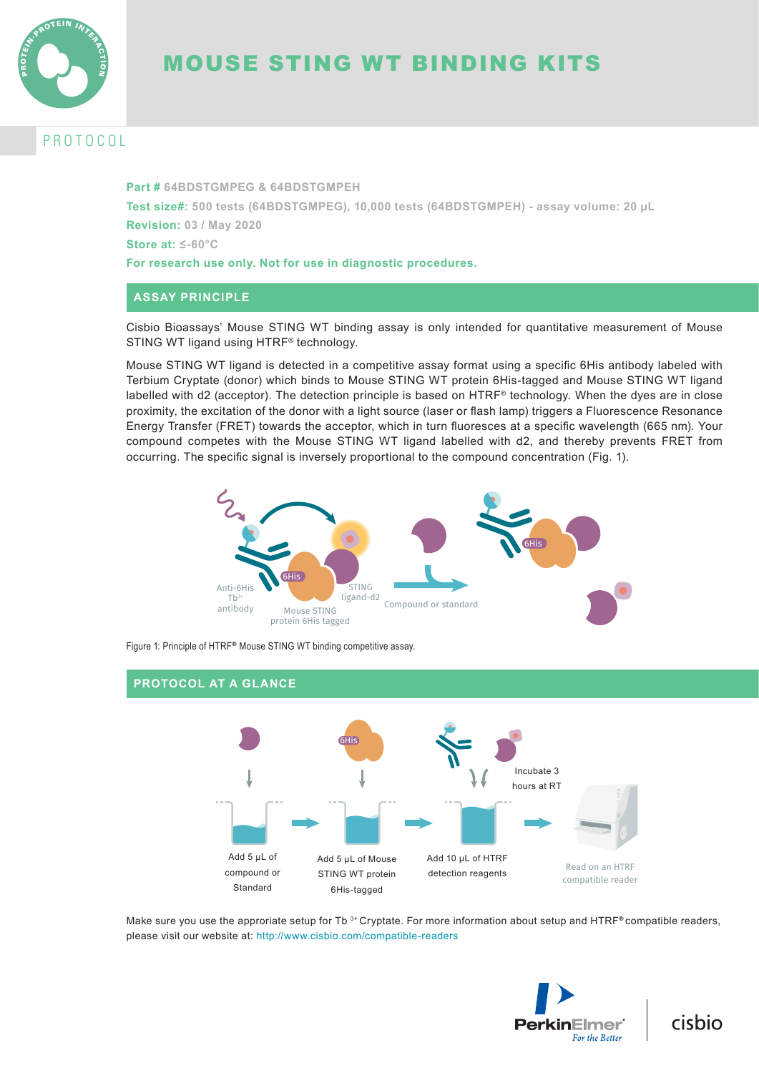

# MOUSE STING WT BINDING KITS

# **ROTOCOL**

**Part # 64BDSTGMPEG & 64BDSTGMPEH Test size#: 500 tests (64BDSTGMPEG), 10,000 tests (64BDSTGMPEH) - assay volume: 20 µL Revision: 03 / May 2020 Store at: ≤-60°C For research use only. Not for use in diagnostic procedures.**

### **ASSAY PRINCIPLE**

Cisbio Bioassays' Mouse STING WT binding assay is only intended for quantitative measurement of Mouse STING WT ligand using HTRF® technology.

Mouse STING WT ligand is detected in a competitive assay format using a specific 6His antibody labeled with Terbium Cryptate (donor) which binds to Mouse STING WT protein 6His-tagged and Mouse STING WT ligand labelled with d2 (acceptor). The detection principle is based on HTRF® technology. When the dyes are in close proximity, the excitation of the donor with a light source (laser or flash lamp) triggers a Fluorescence Resonance Energy Transfer (FRET) towards the acceptor, which in turn fluoresces at a specific wavelength (665 nm). Your compound competes with the Mouse STING WT ligand labelled with d2, and thereby prevents FRET from occurring. The specific signal is inversely proportional to the compound concentration (Fig. 1).



Figure 1: Principle of HTRF**®** Mouse STING WT binding competitive assay.

### **PROTOCOL AT A GLANCE**



Make sure you use the approriate setup for Tb 3+ Cryptate. For more information about setup and HTRF**®** compatible readers, please visit our website at: http://www.cisbio.com/compatible-readers



cisbio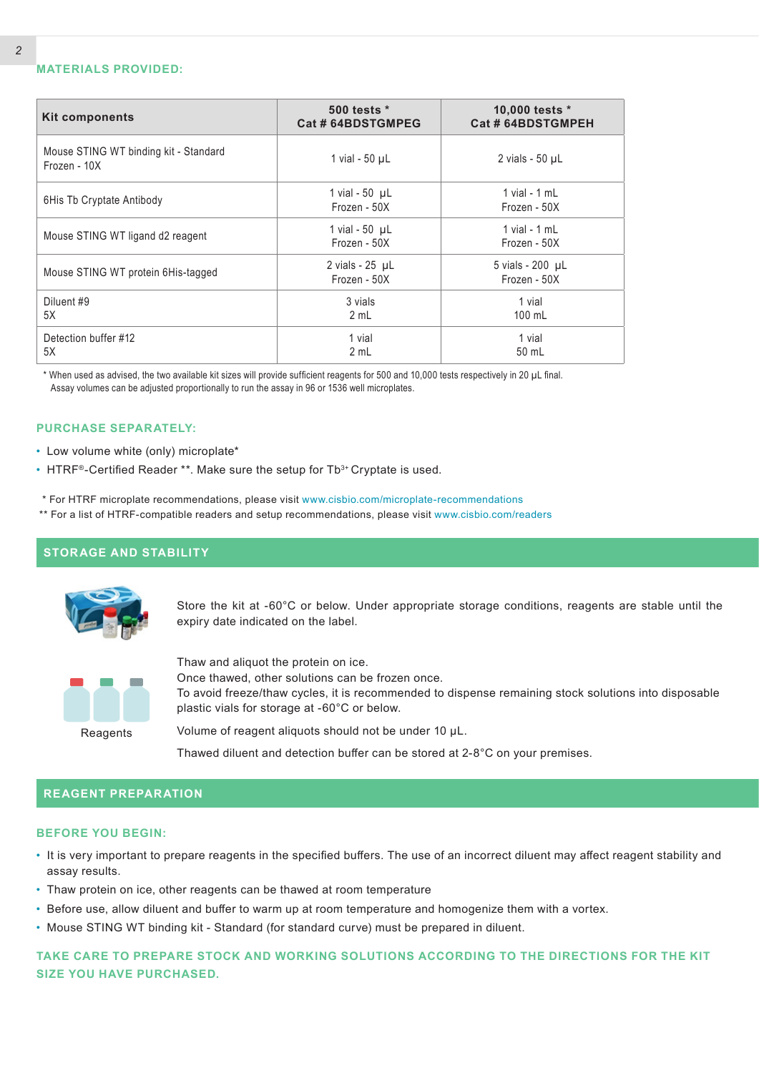#### **MATERIALS PROVIDED:**

| <b>Kit components</b>                                 | 500 tests *<br>Cat # 64BDSTGMPEG       | 10,000 tests *<br>Cat # 64BDSTGMPEH |
|-------------------------------------------------------|----------------------------------------|-------------------------------------|
| Mouse STING WT binding kit - Standard<br>Frozen - 10X | 1 vial - 50 µL                         | 2 vials - $50 \mu L$                |
| 6His Tb Cryptate Antibody                             | 1 vial - $50$ $\mu$ L<br>Frozen - 50X  | 1 vial - $1$ mL<br>Frozen - 50X     |
| Mouse STING WT ligand d2 reagent                      | 1 vial - $50$ $\mu$ L<br>Frozen - 50X  | 1 vial - $1$ mL<br>Frozen - 50X     |
| Mouse STING WT protein 6His-tagged                    | 2 vials - $25$ $\mu$ L<br>Frozen - 50X | 5 vials - 200 µL<br>Frozen - 50X    |
| Diluent #9<br>5X                                      | 3 vials<br>2 mL                        | 1 vial<br>100 mL                    |
| Detection buffer #12<br>5X                            | 1 vial<br>2 mL                         | 1 vial<br>50 mL                     |

 \* When used as advised, the two available kit sizes will provide sufficient reagents for 500 and 10,000 tests respectively in 20 µL final. Assay volumes can be adjusted proportionally to run the assay in 96 or 1536 well microplates.

#### **PURCHASE SEPARATELY:**

- Low volume white (only) microplate\*
- HTRF<sup>®</sup>-Certified Reader \*\*. Make sure the setup for  $Tb^{3+}$  Cryptate is used.
- \* For HTRF microplate recommendations, please visit www.cisbio.com/microplate-recommendations
- \*\* For a list of HTRF-compatible readers and setup recommendations, please visit www.cisbio.com/readers

### **STORAGE AND STABILITY**



Store the kit at -60°C or below. Under appropriate storage conditions, reagents are stable until the expiry date indicated on the label.



Thaw and aliquot the protein on ice.

Once thawed, other solutions can be frozen once.

To avoid freeze/thaw cycles, it is recommended to dispense remaining stock solutions into disposable plastic vials for storage at -60°C or below.

Volume of reagent aliquots should not be under 10 μL.

Thawed diluent and detection buffer can be stored at 2-8°C on your premises.

### **REAGENT PREPARATION**

#### **BEFORE YOU BEGIN:**

- It is very important to prepare reagents in the specified buffers. The use of an incorrect diluent may affect reagent stability and assay results.
- Thaw protein on ice, other reagents can be thawed at room temperature
- Before use, allow diluent and buffer to warm up at room temperature and homogenize them with a vortex.
- Mouse STING WT binding kit Standard (for standard curve) must be prepared in diluent.

**TAKE CARE TO PREPARE STOCK AND WORKING SOLUTIONS ACCORDING TO THE DIRECTIONS FOR THE KIT SIZE YOU HAVE PURCHASED.**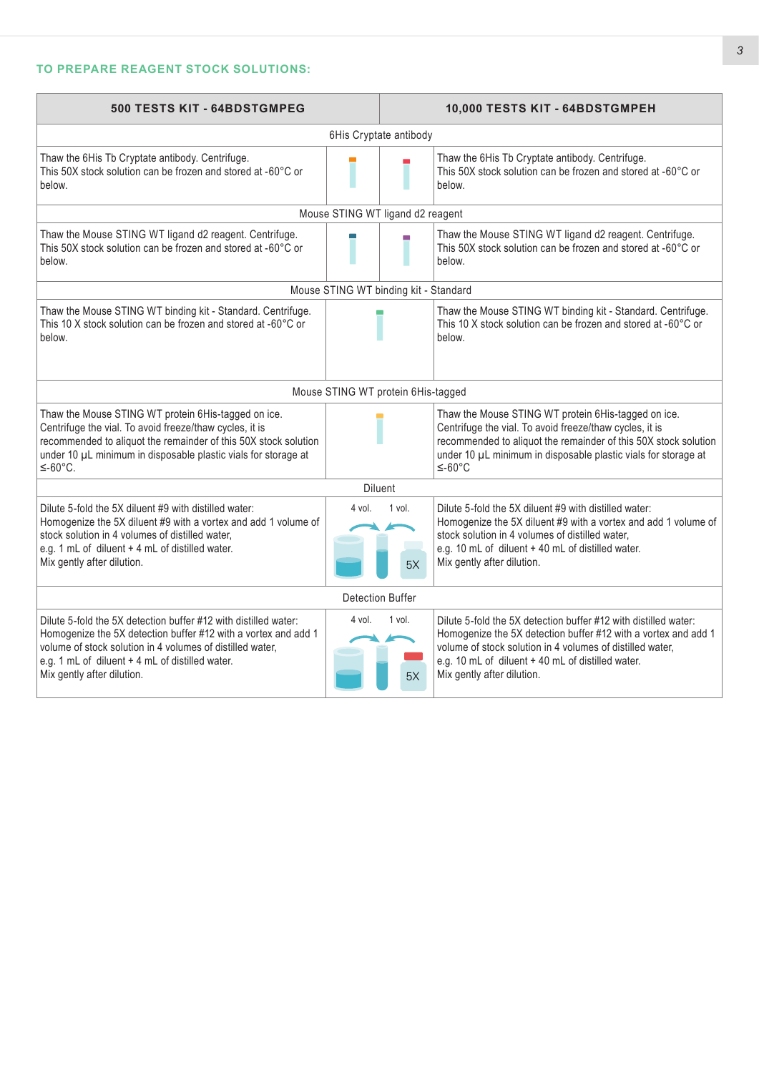## **TO PREPARE REAGENT STOCK SOLUTIONS:**

| 500 TESTS KIT - 64BDSTGMPEG                                                                                                                                                                                                                                                     |                                       |              | 10,000 TESTS KIT - 64BDSTGMPEH                                                                                                                                                                                                                                                    |  |  |
|---------------------------------------------------------------------------------------------------------------------------------------------------------------------------------------------------------------------------------------------------------------------------------|---------------------------------------|--------------|-----------------------------------------------------------------------------------------------------------------------------------------------------------------------------------------------------------------------------------------------------------------------------------|--|--|
| 6His Cryptate antibody                                                                                                                                                                                                                                                          |                                       |              |                                                                                                                                                                                                                                                                                   |  |  |
| Thaw the 6His Tb Cryptate antibody. Centrifuge.<br>This 50X stock solution can be frozen and stored at -60°C or<br>below.                                                                                                                                                       |                                       |              | Thaw the 6His Tb Cryptate antibody. Centrifuge.<br>This 50X stock solution can be frozen and stored at -60°C or<br>helow.                                                                                                                                                         |  |  |
|                                                                                                                                                                                                                                                                                 | Mouse STING WT ligand d2 reagent      |              |                                                                                                                                                                                                                                                                                   |  |  |
| Thaw the Mouse STING WT ligand d2 reagent. Centrifuge.<br>This 50X stock solution can be frozen and stored at -60°C or<br>below.                                                                                                                                                |                                       |              | Thaw the Mouse STING WT ligand d2 reagent. Centrifuge.<br>This 50X stock solution can be frozen and stored at -60°C or<br>below.                                                                                                                                                  |  |  |
|                                                                                                                                                                                                                                                                                 | Mouse STING WT binding kit - Standard |              |                                                                                                                                                                                                                                                                                   |  |  |
| Thaw the Mouse STING WT binding kit - Standard. Centrifuge.<br>This 10 X stock solution can be frozen and stored at -60°C or<br>below.                                                                                                                                          |                                       |              | Thaw the Mouse STING WT binding kit - Standard. Centrifuge.<br>This 10 X stock solution can be frozen and stored at -60°C or<br>below.                                                                                                                                            |  |  |
|                                                                                                                                                                                                                                                                                 | Mouse STING WT protein 6His-tagged    |              |                                                                                                                                                                                                                                                                                   |  |  |
| Thaw the Mouse STING WT protein 6His-tagged on ice.<br>Centrifuge the vial. To avoid freeze/thaw cycles, it is<br>recommended to aliquot the remainder of this 50X stock solution<br>under 10 µL minimum in disposable plastic vials for storage at<br>$≤-60°C.$                |                                       |              | Thaw the Mouse STING WT protein 6His-tagged on ice.<br>Centrifuge the vial. To avoid freeze/thaw cycles, it is<br>recommended to aliquot the remainder of this 50X stock solution<br>under 10 µL minimum in disposable plastic vials for storage at<br>$≤-60°C$                   |  |  |
| <b>Diluent</b>                                                                                                                                                                                                                                                                  |                                       |              |                                                                                                                                                                                                                                                                                   |  |  |
| Dilute 5-fold the 5X diluent #9 with distilled water:<br>Homogenize the 5X diluent #9 with a vortex and add 1 volume of<br>stock solution in 4 volumes of distilled water,<br>e.g. 1 mL of diluent + 4 mL of distilled water.<br>Mix gently after dilution.                     | 4 vol.                                | 1 vol.<br>5X | Dilute 5-fold the 5X diluent #9 with distilled water:<br>Homogenize the 5X diluent #9 with a vortex and add 1 volume of<br>stock solution in 4 volumes of distilled water,<br>e.g. 10 mL of diluent + 40 mL of distilled water.<br>Mix gently after dilution.                     |  |  |
| Detection Buffer                                                                                                                                                                                                                                                                |                                       |              |                                                                                                                                                                                                                                                                                   |  |  |
| Dilute 5-fold the 5X detection buffer #12 with distilled water:<br>Homogenize the 5X detection buffer #12 with a vortex and add 1<br>volume of stock solution in 4 volumes of distilled water,<br>e.g. 1 mL of diluent + 4 mL of distilled water.<br>Mix gently after dilution. | 4 vol.                                | 1 vol.<br>5X | Dilute 5-fold the 5X detection buffer #12 with distilled water:<br>Homogenize the 5X detection buffer #12 with a vortex and add 1<br>volume of stock solution in 4 volumes of distilled water,<br>e.g. 10 mL of diluent + 40 mL of distilled water.<br>Mix gently after dilution. |  |  |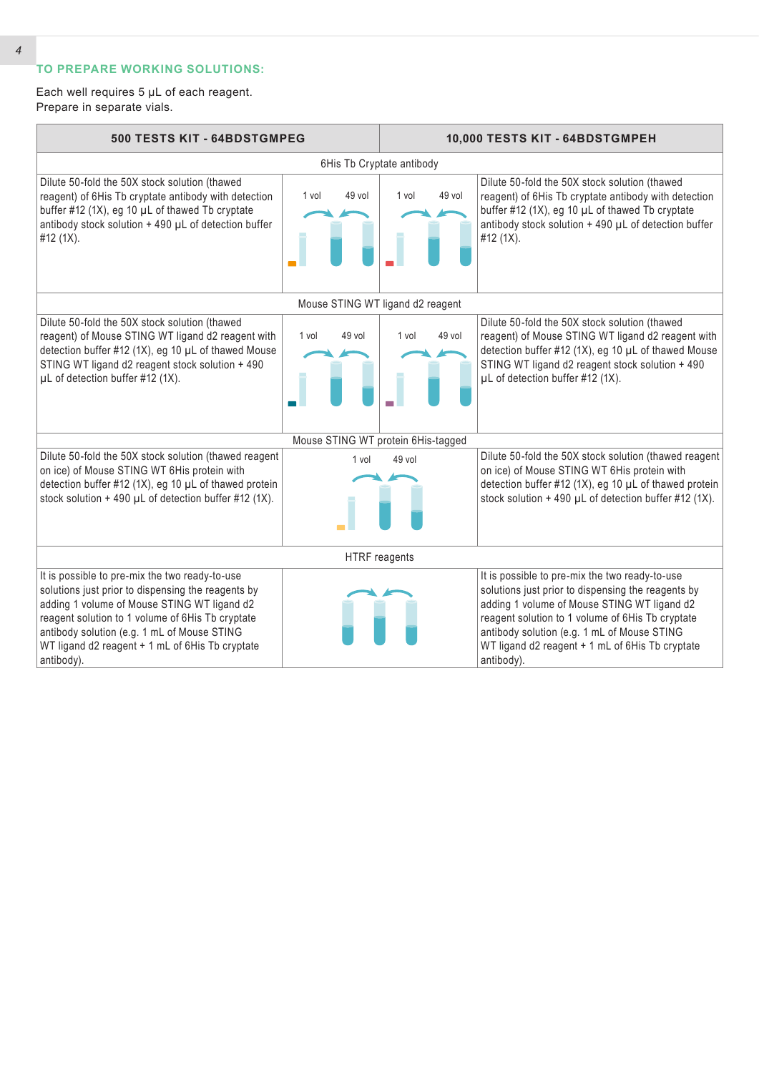# **TO PREPARE WORKING SOLUTIONS:**

Each well requires 5 µL of each reagent. Prepare in separate vials.

| 500 TESTS KIT - 64BDSTGMPEG                                                                                                                                                                                                                                                                                             |                           | 10,000 TESTS KIT - 64BDSTGMPEH     |                                                                                                                                                                                                                                                                                                                         |  |  |  |
|-------------------------------------------------------------------------------------------------------------------------------------------------------------------------------------------------------------------------------------------------------------------------------------------------------------------------|---------------------------|------------------------------------|-------------------------------------------------------------------------------------------------------------------------------------------------------------------------------------------------------------------------------------------------------------------------------------------------------------------------|--|--|--|
|                                                                                                                                                                                                                                                                                                                         | 6His Tb Cryptate antibody |                                    |                                                                                                                                                                                                                                                                                                                         |  |  |  |
| Dilute 50-fold the 50X stock solution (thawed<br>reagent) of 6His Tb cryptate antibody with detection<br>buffer #12 (1X), eg 10 µL of thawed Tb cryptate<br>antibody stock solution + 490 µL of detection buffer<br>#12 (1X).                                                                                           | 49 vol<br>1 vol           | 49 vol<br>1 vol                    | Dilute 50-fold the 50X stock solution (thawed<br>reagent) of 6His Tb cryptate antibody with detection<br>buffer #12 (1X), eg 10 µL of thawed Tb cryptate<br>antibody stock solution + 490 µL of detection buffer<br>#12 (1X).                                                                                           |  |  |  |
|                                                                                                                                                                                                                                                                                                                         |                           | Mouse STING WT ligand d2 reagent   |                                                                                                                                                                                                                                                                                                                         |  |  |  |
| Dilute 50-fold the 50X stock solution (thawed<br>reagent) of Mouse STING WT ligand d2 reagent with<br>detection buffer #12 (1X), eg 10 µL of thawed Mouse<br>STING WT ligand d2 reagent stock solution + 490<br>µL of detection buffer #12 (1X).                                                                        | 49 vol<br>1 vol           | 49 vol<br>1 vol                    | Dilute 50-fold the 50X stock solution (thawed<br>reagent) of Mouse STING WT ligand d2 reagent with<br>detection buffer #12 (1X), eg 10 µL of thawed Mouse<br>STING WT ligand d2 reagent stock solution + 490<br>µL of detection buffer #12 (1X).                                                                        |  |  |  |
|                                                                                                                                                                                                                                                                                                                         |                           | Mouse STING WT protein 6His-tagged |                                                                                                                                                                                                                                                                                                                         |  |  |  |
| Dilute 50-fold the 50X stock solution (thawed reagent<br>on ice) of Mouse STING WT 6His protein with<br>detection buffer #12 (1X), eg 10 µL of thawed protein<br>stock solution $+490$ µL of detection buffer #12 (1X).                                                                                                 | 1 vol                     | 49 vol                             | Dilute 50-fold the 50X stock solution (thawed reagent<br>on ice) of Mouse STING WT 6His protein with<br>detection buffer #12 (1X), eg 10 µL of thawed protein<br>stock solution + 490 µL of detection buffer #12 (1X).                                                                                                  |  |  |  |
| HTRF reagents                                                                                                                                                                                                                                                                                                           |                           |                                    |                                                                                                                                                                                                                                                                                                                         |  |  |  |
| It is possible to pre-mix the two ready-to-use<br>solutions just prior to dispensing the reagents by<br>adding 1 volume of Mouse STING WT ligand d2<br>reagent solution to 1 volume of 6His Tb cryptate<br>antibody solution (e.g. 1 mL of Mouse STING<br>WT ligand d2 reagent + 1 mL of 6His Tb cryptate<br>antibody). |                           |                                    | It is possible to pre-mix the two ready-to-use<br>solutions just prior to dispensing the reagents by<br>adding 1 volume of Mouse STING WT ligand d2<br>reagent solution to 1 volume of 6His Tb cryptate<br>antibody solution (e.g. 1 mL of Mouse STING<br>WT ligand d2 reagent + 1 mL of 6His Tb cryptate<br>antibody). |  |  |  |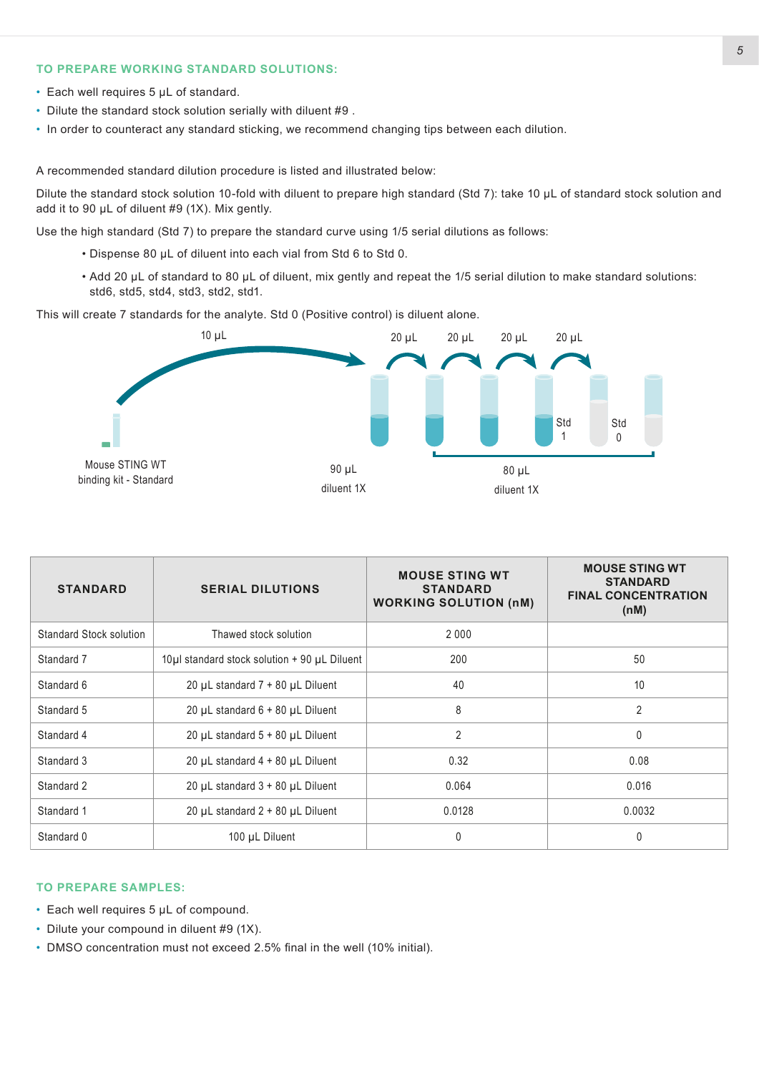### **TO PREPARE WORKING STANDARD SOLUTIONS:**

- Each well requires 5 µL of standard.
- Dilute the standard stock solution serially with diluent #9 .
- In order to counteract any standard sticking, we recommend changing tips between each dilution.

A recommended standard dilution procedure is listed and illustrated below:

Dilute the standard stock solution 10-fold with diluent to prepare high standard (Std 7): take 10 µL of standard stock solution and add it to 90 µL of diluent #9 (1X). Mix gently.

Use the high standard (Std 7) to prepare the standard curve using 1/5 serial dilutions as follows:

- Dispense 80 µL of diluent into each vial from Std 6 to Std 0.
- Add 20 µL of standard to 80 µL of diluent, mix gently and repeat the 1/5 serial dilution to make standard solutions: std6, std5, std4, std3, std2, std1.

This will create 7 standards for the analyte. Std 0 (Positive control) is diluent alone.



| <b>STANDARD</b>         | <b>SERIAL DILUTIONS</b>                      | <b>MOUSE STING WT</b><br><b>STANDARD</b><br><b>WORKING SOLUTION (nM)</b> | <b>MOUSE STING WT</b><br><b>STANDARD</b><br><b>FINAL CONCENTRATION</b><br>(nM) |
|-------------------------|----------------------------------------------|--------------------------------------------------------------------------|--------------------------------------------------------------------------------|
| Standard Stock solution | Thawed stock solution                        | 2 0 0 0                                                                  |                                                                                |
| Standard 7              | 10µl standard stock solution + 90 µL Diluent | 200                                                                      | 50                                                                             |
| Standard 6              | 20 $\mu$ L standard 7 + 80 $\mu$ L Diluent   | 40                                                                       | 10                                                                             |
| Standard 5              | 20 $\mu$ L standard 6 + 80 $\mu$ L Diluent   | 8                                                                        | $\overline{2}$                                                                 |
| Standard 4              | 20 µL standard 5 + 80 µL Diluent             | $\overline{2}$                                                           | $\mathbf{0}$                                                                   |
| Standard 3              | 20 $\mu$ L standard 4 + 80 $\mu$ L Diluent   | 0.32                                                                     | 0.08                                                                           |
| Standard 2              | 20 $\mu$ L standard $3 + 80$ $\mu$ L Diluent | 0.064                                                                    | 0.016                                                                          |
| Standard 1              | 20 $\mu$ L standard 2 + 80 $\mu$ L Diluent   | 0.0128                                                                   | 0.0032                                                                         |
| Standard 0              | 100 µL Diluent                               | 0                                                                        | $\mathbf{0}$                                                                   |

### **TO PREPARE SAMPLES:**

- Each well requires 5 µL of compound.
- Dilute your compound in diluent #9 (1X).
- DMSO concentration must not exceed 2.5% final in the well (10% initial).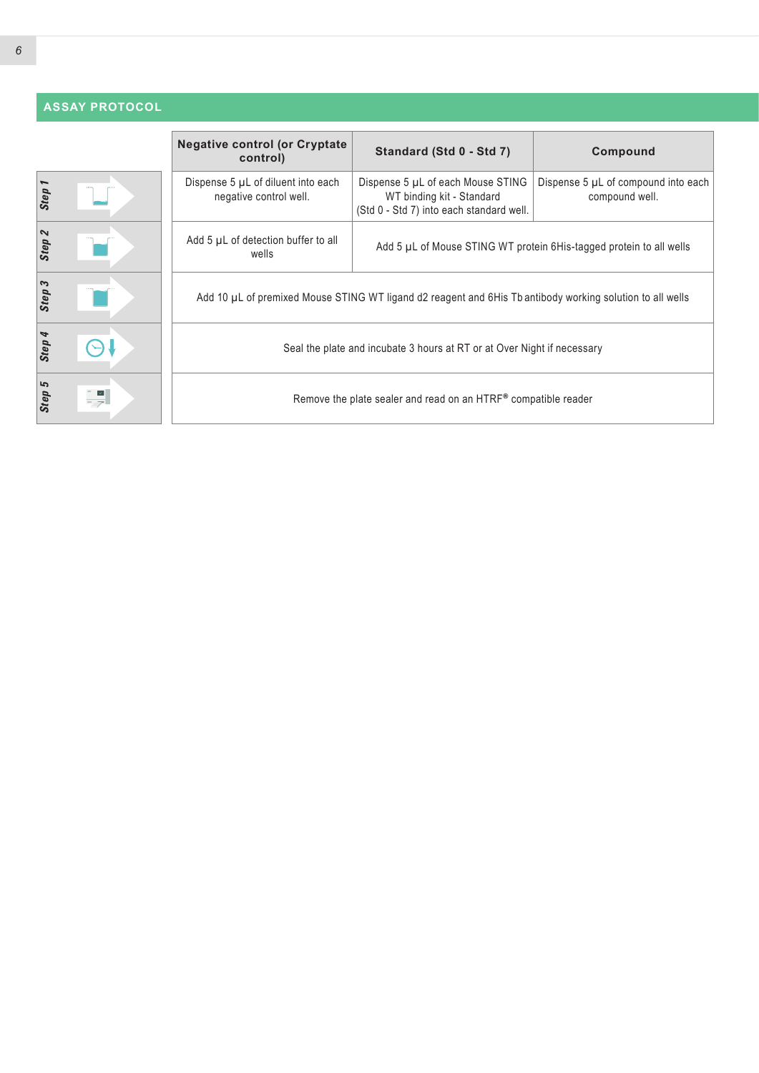# **ASSAY PROTOCOL**

|        |         | <b>Negative control (or Cryptate)</b><br>control)                                                         | Standard (Std 0 - Std 7)                                                                                   | Compound                                                            |  |
|--------|---------|-----------------------------------------------------------------------------------------------------------|------------------------------------------------------------------------------------------------------------|---------------------------------------------------------------------|--|
| Step   |         | Dispense 5 µL of diluent into each<br>negative control well.                                              | Dispense 5 µL of each Mouse STING<br>WT binding kit - Standard<br>(Std 0 - Std 7) into each standard well. | Dispense 5 µL of compound into each<br>compound well.               |  |
| Step 2 |         | Add 5 µL of detection buffer to all<br>wells                                                              |                                                                                                            | Add 5 µL of Mouse STING WT protein 6His-tagged protein to all wells |  |
| Step 3 |         | Add 10 µL of premixed Mouse STING WT ligand d2 reagent and 6His Tb antibody working solution to all wells |                                                                                                            |                                                                     |  |
| Step 4 |         | Seal the plate and incubate 3 hours at RT or at Over Night if necessary                                   |                                                                                                            |                                                                     |  |
| Step 5 | $\prec$ | Remove the plate sealer and read on an HTRF® compatible reader                                            |                                                                                                            |                                                                     |  |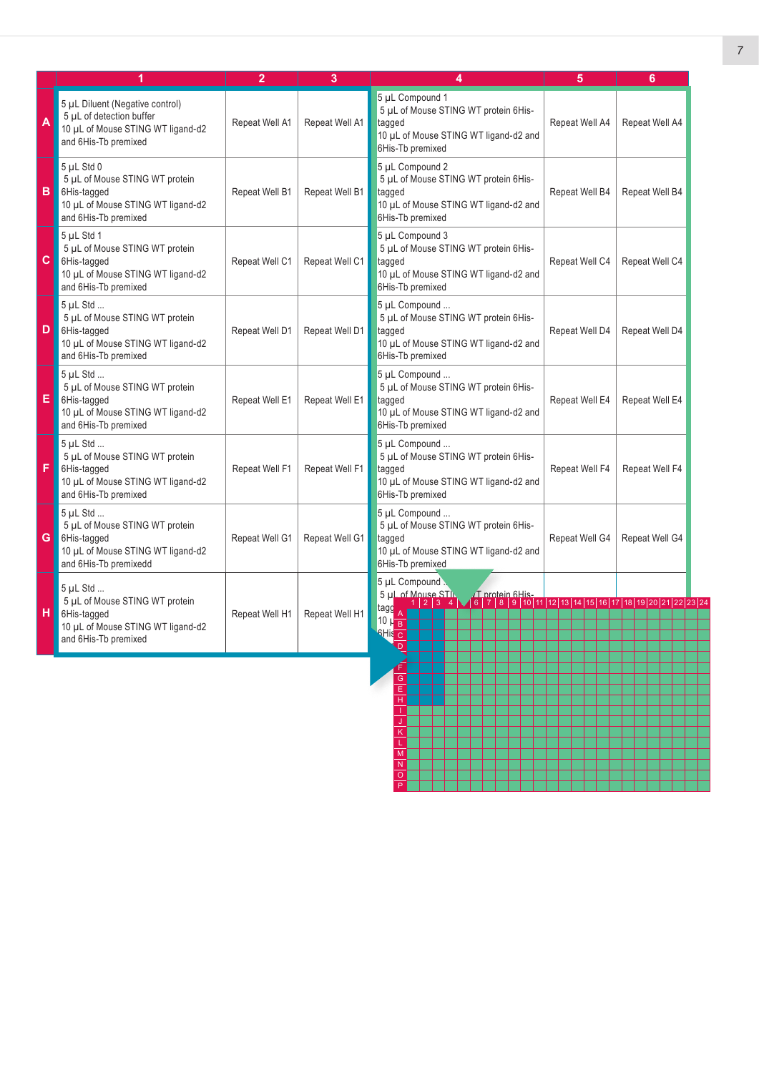|     |                                                                                                                            |                | 3              |                                                                                                                                                                                                                                                | 5              | 6              |
|-----|----------------------------------------------------------------------------------------------------------------------------|----------------|----------------|------------------------------------------------------------------------------------------------------------------------------------------------------------------------------------------------------------------------------------------------|----------------|----------------|
| A   | 5 µL Diluent (Negative control)<br>5 µL of detection buffer<br>10 µL of Mouse STING WT ligand-d2<br>and 6His-Tb premixed   | Repeat Well A1 | Repeat Well A1 | 5 µL Compound 1<br>5 µL of Mouse STING WT protein 6His-<br>tagged<br>10 µL of Mouse STING WT ligand-d2 and<br>6His-Tb premixed                                                                                                                 | Repeat Well A4 | Repeat Well A4 |
| B I | $5$ µL Std 0<br>5 µL of Mouse STING WT protein<br>6His-tagged<br>10 µL of Mouse STING WT ligand-d2<br>and 6His-Tb premixed | Repeat Well B1 | Repeat Well B1 | 5 µL Compound 2<br>5 µL of Mouse STING WT protein 6His-<br>tagged<br>10 µL of Mouse STING WT ligand-d2 and<br>6His-Tb premixed                                                                                                                 | Repeat Well B4 | Repeat Well B4 |
| C.  | 5 µL Std 1<br>5 µL of Mouse STING WT protein<br>6His-tagged<br>10 µL of Mouse STING WT ligand-d2<br>and 6His-Tb premixed   | Repeat Well C1 | Repeat Well C1 | 5 µL Compound 3<br>5 µL of Mouse STING WT protein 6His-<br>tagged<br>10 µL of Mouse STING WT ligand-d2 and<br>6His-Tb premixed                                                                                                                 | Repeat Well C4 | Repeat Well C4 |
| D   | 5 µL Std<br>5 µL of Mouse STING WT protein<br>6His-tagged<br>10 µL of Mouse STING WT ligand-d2<br>and 6His-Tb premixed     | Repeat Well D1 | Repeat Well D1 | 5 µL Compound<br>5 µL of Mouse STING WT protein 6His-<br>tagged<br>10 µL of Mouse STING WT ligand-d2 and<br>6His-Tb premixed                                                                                                                   | Repeat Well D4 | Repeat Well D4 |
| E   | 5 uL Std<br>5 µL of Mouse STING WT protein<br>6His-tagged<br>10 µL of Mouse STING WT ligand-d2<br>and 6His-Tb premixed     | Repeat Well E1 | Repeat Well E1 | 5 µL Compound<br>5 µL of Mouse STING WT protein 6His-<br>tagged<br>10 µL of Mouse STING WT ligand-d2 and<br>6His-Tb premixed                                                                                                                   | Repeat Well E4 | Repeat Well E4 |
| F   | 5 uL Std<br>5 µL of Mouse STING WT protein<br>6His-tagged<br>10 µL of Mouse STING WT ligand-d2<br>and 6His-Tb premixed     | Repeat Well F1 | Repeat Well F1 | 5 µL Compound<br>5 µL of Mouse STING WT protein 6His-<br>tagged<br>10 µL of Mouse STING WT ligand-d2 and<br>6His-Tb premixed                                                                                                                   | Repeat Well F4 | Repeat Well F4 |
| G   | 5 uL Std<br>5 µL of Mouse STING WT protein<br>6His-tagged<br>10 µL of Mouse STING WT ligand-d2<br>and 6His-Tb premixedd    | Repeat Well G1 | Repeat Well G1 | 5 µL Compound<br>5 µL of Mouse STING WT protein 6His-<br>tagged<br>10 µL of Mouse STING WT ligand-d2 and<br>6His-Tb premixed                                                                                                                   | Repeat Well G4 | Repeat Well G4 |
| нι  | 5 µL Std<br>5 µL of Mouse STING WT protein<br>6His-tagged<br>10 µL of Mouse STING WT ligand-d2<br>and 6His-Tb premixed     | Repeat Well H1 | Repeat Well H1 | 5 µL Compound<br>5 µL of Mouse STIL<br>Mouse STI. J. J. Drotein 6His-<br>1   2   3   4   1   6   7   8   9   10   11   12   13   14   15   16   17   18   19   20   21   22   23   24<br>tagg<br>$10 \mu_B$<br><b>RHis</b> C<br>$\overline{D}$ |                |                |

J K L M N O P